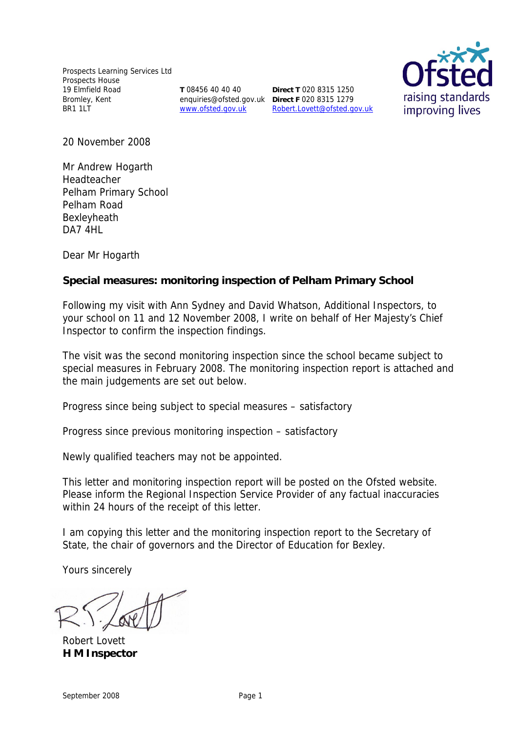Prospects Learning Services Ltd Prospects House 19 Elmfield Road Bromley, Kent BR1 1LT

**T** 08456 40 40 40 enquiries@ofsted.gov.uk **Direct F** 020 8315 1279 www.ofsted.gov.uk

**Direct T** 020 8315 1250 Robert.Lovett@ofsted.gov.uk



20 November 2008

Mr Andrew Hogarth Headteacher Pelham Primary School Pelham Road Bexleyheath DA7 4HL

Dear Mr Hogarth

**Special measures: monitoring inspection of Pelham Primary School**

Following my visit with Ann Sydney and David Whatson, Additional Inspectors, to your school on 11 and 12 November 2008, I write on behalf of Her Majesty's Chief Inspector to confirm the inspection findings.

The visit was the second monitoring inspection since the school became subject to special measures in February 2008. The monitoring inspection report is attached and the main judgements are set out below.

Progress since being subject to special measures – satisfactory

Progress since previous monitoring inspection – satisfactory

Newly qualified teachers may not be appointed.

This letter and monitoring inspection report will be posted on the Ofsted website. Please inform the Regional Inspection Service Provider of any factual inaccuracies within 24 hours of the receipt of this letter.

I am copying this letter and the monitoring inspection report to the Secretary of State, the chair of governors and the Director of Education for Bexley.

Yours sincerely

Robert Lovett **H M Inspector**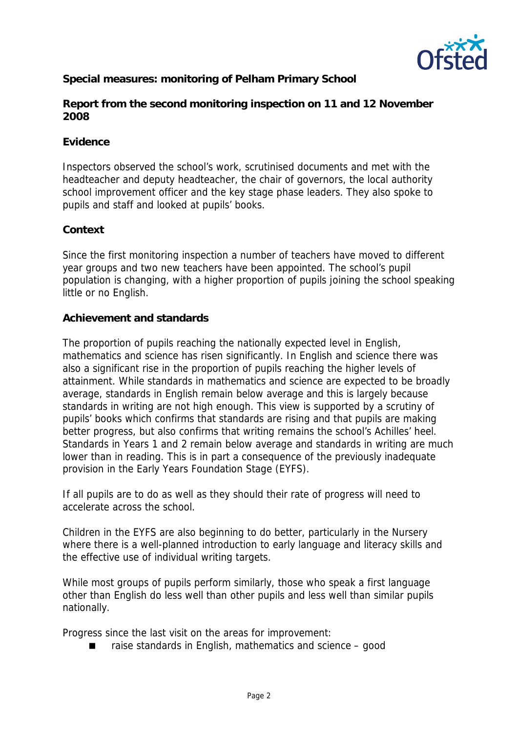

**Special measures: monitoring of Pelham Primary School**

**Report from the second monitoring inspection on 11 and 12 November 2008**

### **Evidence**

Inspectors observed the school's work, scrutinised documents and met with the headteacher and deputy headteacher, the chair of governors, the local authority school improvement officer and the key stage phase leaders. They also spoke to pupils and staff and looked at pupils' books.

## **Context**

Since the first monitoring inspection a number of teachers have moved to different year groups and two new teachers have been appointed. The school's pupil population is changing, with a higher proportion of pupils joining the school speaking little or no English.

## **Achievement and standards**

The proportion of pupils reaching the nationally expected level in English, mathematics and science has risen significantly. In English and science there was also a significant rise in the proportion of pupils reaching the higher levels of attainment. While standards in mathematics and science are expected to be broadly average, standards in English remain below average and this is largely because standards in writing are not high enough. This view is supported by a scrutiny of pupils' books which confirms that standards are rising and that pupils are making better progress, but also confirms that writing remains the school's Achilles' heel. Standards in Years 1 and 2 remain below average and standards in writing are much lower than in reading. This is in part a consequence of the previously inadequate provision in the Early Years Foundation Stage (EYFS).

If all pupils are to do as well as they should their rate of progress will need to accelerate across the school.

Children in the EYFS are also beginning to do better, particularly in the Nursery where there is a well-planned introduction to early language and literacy skills and the effective use of individual writing targets.

While most groups of pupils perform similarly, those who speak a first language other than English do less well than other pupils and less well than similar pupils nationally.

Progress since the last visit on the areas for improvement:

raise standards in English, mathematics and science – good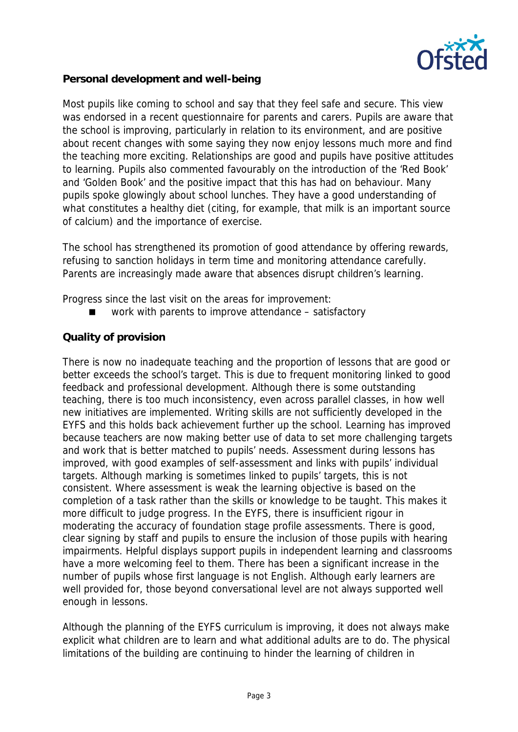

**Personal development and well-being**

Most pupils like coming to school and say that they feel safe and secure. This view was endorsed in a recent questionnaire for parents and carers. Pupils are aware that the school is improving, particularly in relation to its environment, and are positive about recent changes with some saying they now enjoy lessons much more and find the teaching more exciting. Relationships are good and pupils have positive attitudes to learning. Pupils also commented favourably on the introduction of the 'Red Book' and 'Golden Book' and the positive impact that this has had on behaviour. Many pupils spoke glowingly about school lunches. They have a good understanding of what constitutes a healthy diet (citing, for example, that milk is an important source of calcium) and the importance of exercise.

The school has strengthened its promotion of good attendance by offering rewards, refusing to sanction holidays in term time and monitoring attendance carefully. Parents are increasingly made aware that absences disrupt children's learning.

Progress since the last visit on the areas for improvement:

■ work with parents to improve attendance – satisfactory

## **Quality of provision**

There is now no inadequate teaching and the proportion of lessons that are good or better exceeds the school's target. This is due to frequent monitoring linked to good feedback and professional development. Although there is some outstanding teaching, there is too much inconsistency, even across parallel classes, in how well new initiatives are implemented. Writing skills are not sufficiently developed in the EYFS and this holds back achievement further up the school. Learning has improved because teachers are now making better use of data to set more challenging targets and work that is better matched to pupils' needs. Assessment during lessons has improved, with good examples of self-assessment and links with pupils' individual targets. Although marking is sometimes linked to pupils' targets, this is not consistent. Where assessment is weak the learning objective is based on the completion of a task rather than the skills or knowledge to be taught. This makes it more difficult to judge progress. In the EYFS, there is insufficient rigour in moderating the accuracy of foundation stage profile assessments. There is good, clear signing by staff and pupils to ensure the inclusion of those pupils with hearing impairments. Helpful displays support pupils in independent learning and classrooms have a more welcoming feel to them. There has been a significant increase in the number of pupils whose first language is not English. Although early learners are well provided for, those beyond conversational level are not always supported well enough in lessons.

Although the planning of the EYFS curriculum is improving, it does not always make explicit what children are to learn and what additional adults are to do. The physical limitations of the building are continuing to hinder the learning of children in